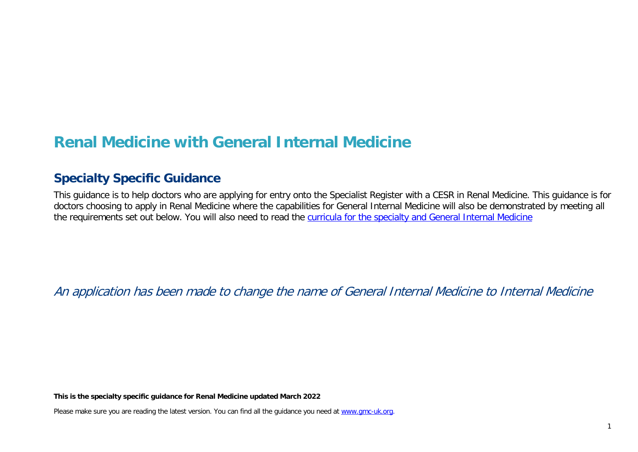# **Renal Medicine with General Internal Medicine**

## **Specialty Specific Guidance**

This guidance is to help doctors who are applying for entry onto the Specialist Register with a CESR in Renal Medicine. This guidance is for doctors choosing to apply in Renal Medicine where the capabilities for General Internal Medicine will also be demonstrated by meeting all the requirements set out below. You will also need to read the [curricula for the specialty and General Internal Medicine](https://www.gmc-uk.org/education/standards-guidance-and-curricula/curricula%23T)

An application has been made to change the name of General Internal Medicine to Internal Medicine

**This is the specialty specific guidance for Renal Medicine updated March 2022**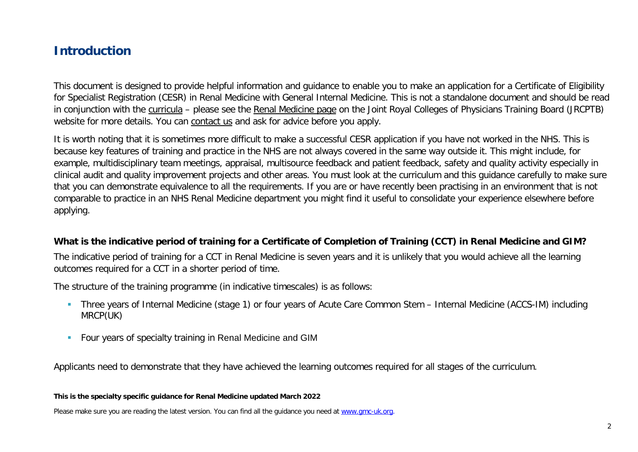## **Introduction**

This document is designed to provide helpful information and guidance to enable you to make an application for a Certificate of Eligibility for Specialist Registration (CESR) in Renal Medicine with General Internal Medicine. This is not a standalone document and should be read in conjunction with the [curricula](https://www.gmc-uk.org/education/standards-guidance-and-curricula/curricula#T) - please see the [Renal Medicine page](https://www.jrcptb.org.uk/specialties/renal-medicine) on the Joint Royal Colleges of Physicians Training Board (JRCPTB) website for more details. You can [contact us](http://www.gmc-uk.org/about/contacts.asp) and ask for advice before you apply.

It is worth noting that it is sometimes more difficult to make a successful CESR application if you have not worked in the NHS. This is because key features of training and practice in the NHS are not always covered in the same way outside it. This might include, for example, multidisciplinary team meetings, appraisal, multisource feedback and patient feedback, safety and quality activity especially in clinical audit and quality improvement projects and other areas. You must look at the curriculum and this guidance carefully to make sure that you can demonstrate equivalence to all the requirements. If you are or have recently been practising in an environment that is not comparable to practice in an NHS Renal Medicine department you might find it useful to consolidate your experience elsewhere before applying.

#### **What is the indicative period of training for a Certificate of Completion of Training (CCT) in Renal Medicine and GIM?**

The indicative period of training for a CCT in Renal Medicine is seven years and it is unlikely that you would achieve all the learning outcomes required for a CCT in a shorter period of time.

The structure of the training programme (in indicative timescales) is as follows:

- Three years of Internal Medicine (stage 1) or four years of Acute Care Common Stem Internal Medicine (ACCS-IM) including MRCP(UK)
- **Four years of specialty training in Renal Medicine and GIM**

Applicants need to demonstrate that they have achieved the learning outcomes required for all stages of the curriculum.

**This is the specialty specific guidance for Renal Medicine updated March 2022**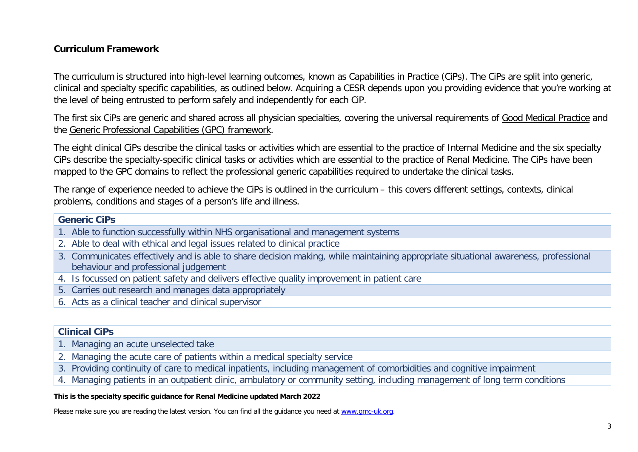#### **Curriculum Framework**

The curriculum is structured into high-level learning outcomes, known as Capabilities in Practice (CiPs). The CiPs are split into generic, clinical and specialty specific capabilities, as outlined below. Acquiring a CESR depends upon you providing evidence that you're working at the level of being entrusted to perform safely and independently for each CiP.

The first six CiPs are generic and shared across all physician specialties, covering the universal requirements of [Good Medical Practice](https://www.gmc-uk.org/-/media/documents/good-medical-practice---english-20200128_pdf-51527435.pdf?la=en&hash=DA1263358CCA88F298785FE2BD7610EB4EE9A530) and the [Generic Professional Capabilities \(GPC\) framework.](https://www.gmc-uk.org/-/media/documents/generic-professional-capabilities-framework--0817_pdf-70417127.pdf)

The eight clinical CiPs describe the clinical tasks or activities which are essential to the practice of Internal Medicine and the six specialty CiPs describe the specialty-specific clinical tasks or activities which are essential to the practice of Renal Medicine. The CiPs have been mapped to the GPC domains to reflect the professional generic capabilities required to undertake the clinical tasks.

The range of experience needed to achieve the CiPs is outlined in the curriculum – this covers different settings, contexts, clinical problems, conditions and stages of a person's life and illness.

#### **Generic CiPs**

- 1. Able to function successfully within NHS organisational and management systems
- 2. Able to deal with ethical and legal issues related to clinical practice
- 3. Communicates effectively and is able to share decision making, while maintaining appropriate situational awareness, professional behaviour and professional judgement
- 4. Is focussed on patient safety and delivers effective quality improvement in patient care
- 5. Carries out research and manages data appropriately
- 6. Acts as a clinical teacher and clinical supervisor

#### **Clinical CiPs**

- 1. Managing an acute unselected take
- 2. Managing the acute care of patients within a medical specialty service
- 3. Providing continuity of care to medical inpatients, including management of comorbidities and cognitive impairment
- 4. Managing patients in an outpatient clinic, ambulatory or community setting, including management of long term conditions

#### **This is the specialty specific guidance for Renal Medicine updated March 2022**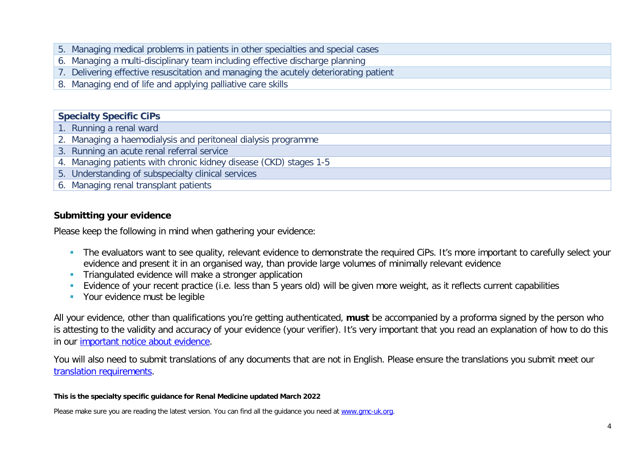- 5. Managing medical problems in patients in other specialties and special cases
- 6. Managing a multi-disciplinary team including effective discharge planning
- 7. Delivering effective resuscitation and managing the acutely deteriorating patient
- 8. Managing end of life and applying palliative care skills

#### **Specialty Specific CiPs**

- 1. Running a renal ward
- 2. Managing a haemodialysis and peritoneal dialysis programme
- 3. Running an acute renal referral service
- 4. Managing patients with chronic kidney disease (CKD) stages 1-5
- 5. Understanding of subspecialty clinical services
- 6. Managing renal transplant patients

#### **Submitting your evidence**

Please keep the following in mind when gathering your evidence:

- The evaluators want to see quality, relevant evidence to demonstrate the required CiPs. It's more important to carefully select your evidence and present it in an organised way, than provide large volumes of minimally relevant evidence
- **Triangulated evidence will make a stronger application**
- Evidence of your recent practice (i.e. less than 5 years old) will be given more weight, as it reflects current capabilities
- **Your evidence must be legible**

All your evidence, other than qualifications you're getting authenticated, **must** be accompanied by a proforma signed by the person who is attesting to the validity and accuracy of your evidence (your verifier). It's very important that you read an explanation of how to do this in our [important notice about evidence.](http://www.gmc-uk.org/doctors/evidence_notice.asp)

You will also need to submit translations of any documents that are not in English. Please ensure the translations you submit meet our [translation requirements.](http://www.gmc-uk.org/doctors/translations.asp)

#### **This is the specialty specific guidance for Renal Medicine updated March 2022**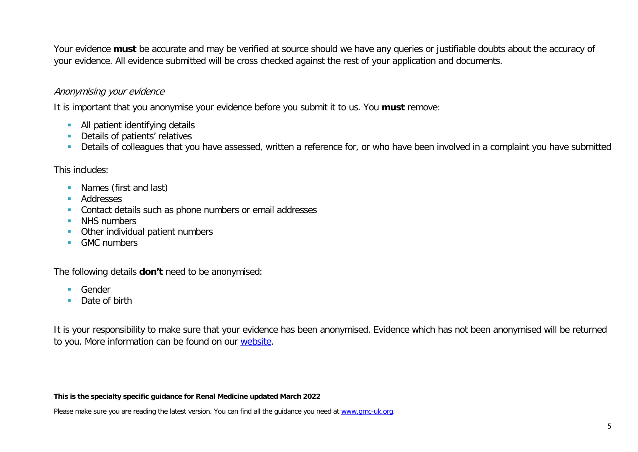Your evidence **must** be accurate and may be verified at source should we have any queries or justifiable doubts about the accuracy of your evidence. All evidence submitted will be cross checked against the rest of your application and documents.

#### Anonymising your evidence

It is important that you anonymise your evidence before you submit it to us. You **must** remove:

- **All patient identifying details**
- Details of patients' relatives
- Details of colleagues that you have assessed, written a reference for, or who have been involved in a complaint you have submitted

This includes:

- **Names (first and last)**
- **Addresses**
- **Contact details such as phone numbers or email addresses**
- NHS numbers
- **•** Other individual patient numbers
- **GMC** numbers

The following details **don't** need to be anonymised:

- **Gender**
- Date of birth

It is your responsibility to make sure that your evidence has been anonymised. Evidence which has not been anonymised will be returned to you. More information can be found on our [website.](https://www.gmc-uk.org/registration-and-licensing/join-the-register/registration-applications/cesr-cegpr-application-process/anonymisation)

#### **This is the specialty specific guidance for Renal Medicine updated March 2022**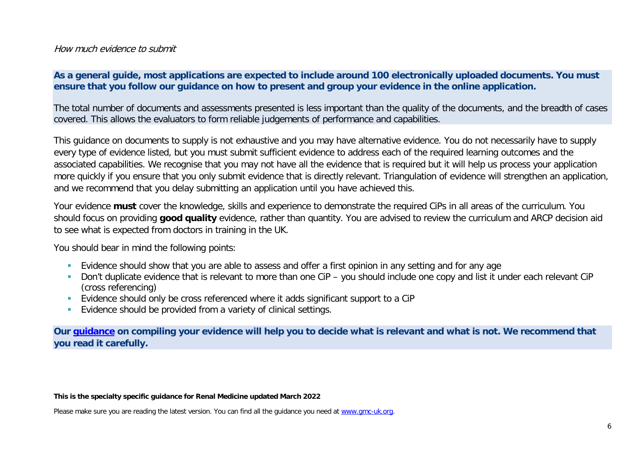#### How much evidence to submit

#### **As a general guide, most applications are expected to include around 100 electronically uploaded documents. You must ensure that you follow our guidance on how to present and group your evidence in the online application.**

The total number of documents and assessments presented is less important than the quality of the documents, and the breadth of cases covered. This allows the evaluators to form reliable judgements of performance and capabilities.

This guidance on documents to supply is not exhaustive and you may have alternative evidence. You do not necessarily have to supply every type of evidence listed, but you must submit sufficient evidence to address each of the required learning outcomes and the associated capabilities. We recognise that you may not have all the evidence that is required but it will help us process your application more quickly if you ensure that you only submit evidence that is directly relevant. Triangulation of evidence will strengthen an application, and we recommend that you delay submitting an application until you have achieved this.

Your evidence **must** cover the knowledge, skills and experience to demonstrate the required CiPs in all areas of the curriculum. You should focus on providing **good quality** evidence, rather than quantity. You are advised to review the curriculum and ARCP decision aid to see what is expected from doctors in training in the UK.

You should bear in mind the following points:

- **Evidence should show that you are able to assess and offer a first opinion in any setting and for any age**
- Don't duplicate evidence that is relevant to more than one CiP you should include one copy and list it under each relevant CiP (cross referencing)
- Evidence should only be cross referenced where it adds significant support to a CiP
- **Evidence should be provided from a variety of clinical settings.**

**Our [guidance](https://www.gmc-uk.org/-/media/documents/sat---cesr-cegpr-online-application---user-guide---dc11550_pdf-76194730.pdf) on compiling your evidence will help you to decide what is relevant and what is not. We recommend that you read it carefully.**

#### **This is the specialty specific guidance for Renal Medicine updated March 2022**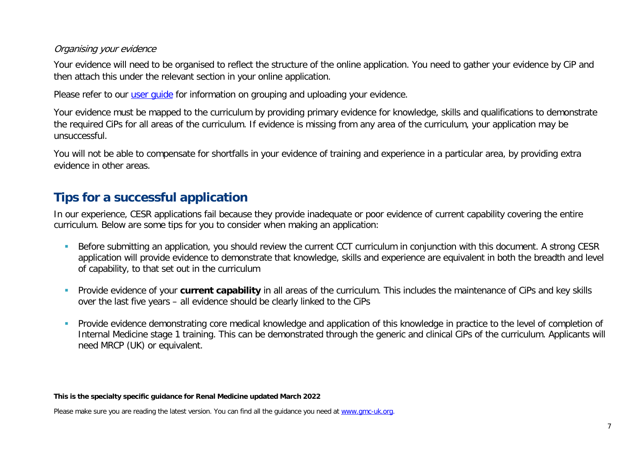#### Organising your evidence

Your evidence will need to be organised to reflect the structure of the online application. You need to gather your evidence by CiP and then attach this under the relevant section in your online application.

Please refer to our user quide for information on grouping and uploading your evidence.

Your evidence must be mapped to the curriculum by providing primary evidence for knowledge, skills and qualifications to demonstrate the required CiPs for all areas of the curriculum. If evidence is missing from any area of the curriculum, your application may be unsuccessful.

You will not be able to compensate for shortfalls in your evidence of training and experience in a particular area, by providing extra evidence in other areas.

## **Tips for a successful application**

In our experience, CESR applications fail because they provide inadequate or poor evidence of current capability covering the entire curriculum. Below are some tips for you to consider when making an application:

- Before submitting an application, you should review the current CCT curriculum in conjunction with this document. A strong CESR application will provide evidence to demonstrate that knowledge, skills and experience are equivalent in both the breadth and level of capability, to that set out in the curriculum
- Provide evidence of your **current capability** in all areas of the curriculum. This includes the maintenance of CiPs and key skills over the last five years – all evidence should be clearly linked to the CiPs
- **Provide evidence demonstrating core medical knowledge and application of this knowledge in practice to the level of completion of set of completion of** Internal Medicine stage 1 training. This can be demonstrated through the generic and clinical CiPs of the curriculum. Applicants will need MRCP (UK) or equivalent.

#### **This is the specialty specific guidance for Renal Medicine updated March 2022**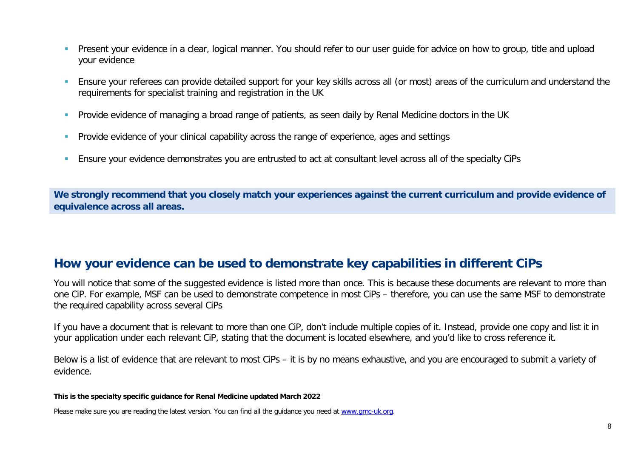- **Present your evidence in a clear, logical manner. You should refer to our user quide for advice on how to group, title and upload** your evidence
- Ensure your referees can provide detailed support for your key skills across all (or most) areas of the curriculum and understand the requirements for specialist training and registration in the UK
- **Provide evidence of managing a broad range of patients, as seen daily by Renal Medicine doctors in the UK**
- **Provide evidence of your clinical capability across the range of experience, ages and settings**
- Ensure your evidence demonstrates you are entrusted to act at consultant level across all of the specialty CiPs

**We strongly recommend that you closely match your experiences against the current curriculum and provide evidence of equivalence across all areas.** 

## **How your evidence can be used to demonstrate key capabilities in different CiPs**

You will notice that some of the suggested evidence is listed more than once. This is because these documents are relevant to more than one CiP. For example, MSF can be used to demonstrate competence in most CiPs – therefore, you can use the same MSF to demonstrate the required capability across several CiPs

If you have a document that is relevant to more than one CiP, don't include multiple copies of it. Instead, provide one copy and list it in your application under each relevant CiP, stating that the document is located elsewhere, and you'd like to cross reference it.

Below is a list of evidence that are relevant to most CiPs – it is by no means exhaustive, and you are encouraged to submit a variety of evidence.

**This is the specialty specific guidance for Renal Medicine updated March 2022**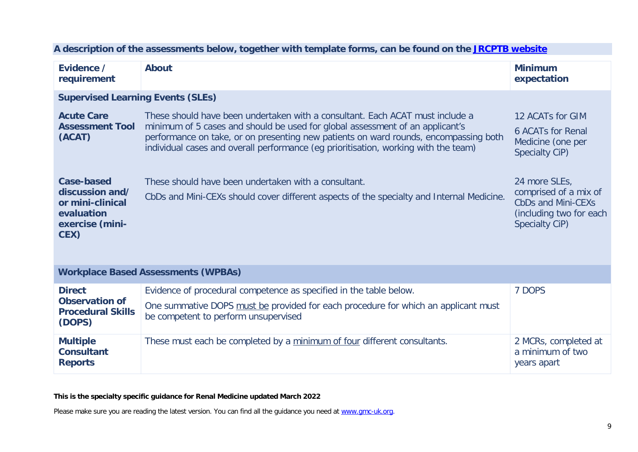| Evidence /<br>requirement                                                                         | <b>About</b>                                                                                                                                                                                                                                                                                                                                  | <b>Minimum</b><br>expectation                                                                                    |
|---------------------------------------------------------------------------------------------------|-----------------------------------------------------------------------------------------------------------------------------------------------------------------------------------------------------------------------------------------------------------------------------------------------------------------------------------------------|------------------------------------------------------------------------------------------------------------------|
| <b>Supervised Learning Events (SLEs)</b>                                                          |                                                                                                                                                                                                                                                                                                                                               |                                                                                                                  |
| <b>Acute Care</b><br><b>Assessment Tool</b><br>(ACAT)                                             | These should have been undertaken with a consultant. Each ACAT must include a<br>minimum of 5 cases and should be used for global assessment of an applicant's<br>performance on take, or on presenting new patients on ward rounds, encompassing both<br>individual cases and overall performance (eg prioritisation, working with the team) | 12 ACATs for GIM<br><b>6 ACATs for Renal</b><br>Medicine (one per<br>Specialty CiP)                              |
| <b>Case-based</b><br>discussion and/<br>or mini-clinical<br>evaluation<br>exercise (mini-<br>CEX) | These should have been undertaken with a consultant.<br>CbDs and Mini-CEXs should cover different aspects of the specialty and Internal Medicine.                                                                                                                                                                                             | 24 more SLEs,<br>comprised of a mix of<br><b>CbDs and Mini-CEXs</b><br>(including two for each<br>Specialty CiP) |
|                                                                                                   | <b>Workplace Based Assessments (WPBAs)</b>                                                                                                                                                                                                                                                                                                    |                                                                                                                  |
| <b>Direct</b><br><b>Observation of</b><br><b>Procedural Skills</b>                                | Evidence of procedural competence as specified in the table below.<br>One summative DOPS must be provided for each procedure for which an applicant must<br>he compatent to nexterna unounceded                                                                                                                                               | 7 DOPS                                                                                                           |

#### **A description of the assessments below, together with template forms, can be found on the [JRCPTB website](https://www.jrcptb.org.uk/assessment/workplace-based-assessment)**

|                                                                              | <b>Workplace Based Assessments (WPBAs)</b>                                                                                                                                                       |                                                         |
|------------------------------------------------------------------------------|--------------------------------------------------------------------------------------------------------------------------------------------------------------------------------------------------|---------------------------------------------------------|
| <b>Direct</b><br><b>Observation of</b><br><b>Procedural Skills</b><br>(DOPS) | Evidence of procedural competence as specified in the table below.<br>One summative DOPS must be provided for each procedure for which an applicant must<br>be competent to perform unsupervised | 7 DOPS                                                  |
| <b>Multiple</b><br><b>Consultant</b><br><b>Reports</b>                       | These must each be completed by a minimum of four different consultants.                                                                                                                         | 2 MCRs, completed at<br>a minimum of two<br>years apart |

**This is the specialty specific guidance for Renal Medicine updated March 2022**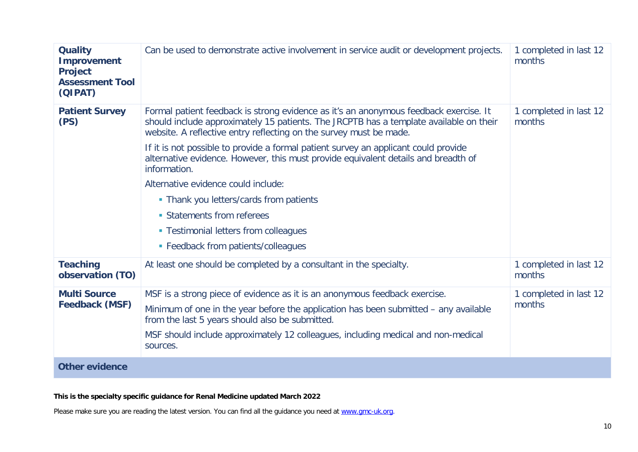| <b>Quality</b><br><b>Improvement</b><br><b>Project</b><br><b>Assessment Tool</b><br>(QIPAT) | Can be used to demonstrate active involvement in service audit or development projects.                                                                                                                                                                                                                                                                                                                                                                                                                                                                                                                                                            | 1 completed in last 12<br>months |
|---------------------------------------------------------------------------------------------|----------------------------------------------------------------------------------------------------------------------------------------------------------------------------------------------------------------------------------------------------------------------------------------------------------------------------------------------------------------------------------------------------------------------------------------------------------------------------------------------------------------------------------------------------------------------------------------------------------------------------------------------------|----------------------------------|
| <b>Patient Survey</b><br>(PS)                                                               | Formal patient feedback is strong evidence as it's an anonymous feedback exercise. It<br>should include approximately 15 patients. The JRCPTB has a template available on their<br>website. A reflective entry reflecting on the survey must be made.<br>If it is not possible to provide a formal patient survey an applicant could provide<br>alternative evidence. However, this must provide equivalent details and breadth of<br>information.<br>Alternative evidence could include:<br>• Thank you letters/cards from patients<br>• Statements from referees<br>• Testimonial letters from colleagues<br>• Feedback from patients/colleagues | 1 completed in last 12<br>months |
| <b>Teaching</b><br>observation (TO)                                                         | At least one should be completed by a consultant in the specialty.                                                                                                                                                                                                                                                                                                                                                                                                                                                                                                                                                                                 | 1 completed in last 12<br>months |
| <b>Multi Source</b><br><b>Feedback (MSF)</b>                                                | MSF is a strong piece of evidence as it is an anonymous feedback exercise.<br>Minimum of one in the year before the application has been submitted – any available<br>from the last 5 years should also be submitted.<br>MSF should include approximately 12 colleagues, including medical and non-medical<br>sources.                                                                                                                                                                                                                                                                                                                             | 1 completed in last 12<br>months |
| <b>Other evidence</b>                                                                       |                                                                                                                                                                                                                                                                                                                                                                                                                                                                                                                                                                                                                                                    |                                  |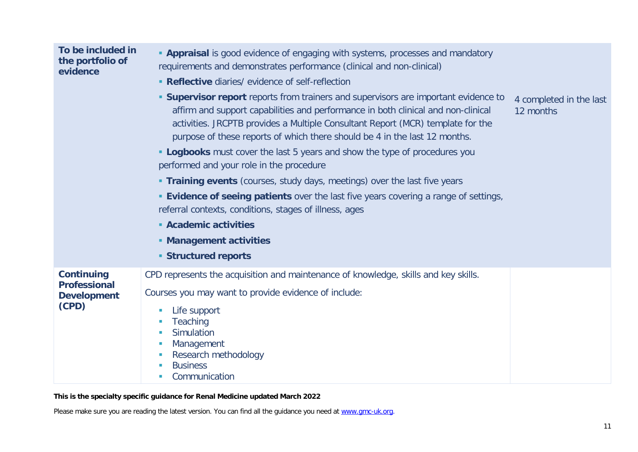| To be included in<br>the portfolio of<br>evidence                       | <b>- Appraisal</b> is good evidence of engaging with systems, processes and mandatory<br>requirements and demonstrates performance (clinical and non-clinical)<br>• Reflective diaries/ evidence of self-reflection<br><b>Supervisor report</b> reports from trainers and supervisors are important evidence to<br>affirm and support capabilities and performance in both clinical and non-clinical<br>activities. JRCPTB provides a Multiple Consultant Report (MCR) template for the<br>purpose of these reports of which there should be 4 in the last 12 months.<br><b>- Logbooks</b> must cover the last 5 years and show the type of procedures you<br>performed and your role in the procedure<br><b>Training events</b> (courses, study days, meetings) over the last five years<br><b>Evidence of seeing patients</b> over the last five years covering a range of settings,<br>referral contexts, conditions, stages of illness, ages<br>• Academic activities<br>• Management activities<br><b>Structured reports</b> | 4 completed in the last<br>12 months |
|-------------------------------------------------------------------------|-----------------------------------------------------------------------------------------------------------------------------------------------------------------------------------------------------------------------------------------------------------------------------------------------------------------------------------------------------------------------------------------------------------------------------------------------------------------------------------------------------------------------------------------------------------------------------------------------------------------------------------------------------------------------------------------------------------------------------------------------------------------------------------------------------------------------------------------------------------------------------------------------------------------------------------------------------------------------------------------------------------------------------------|--------------------------------------|
| <b>Continuing</b><br><b>Professional</b><br><b>Development</b><br>(CPD) | CPD represents the acquisition and maintenance of knowledge, skills and key skills.<br>Courses you may want to provide evidence of include:<br>Life support<br>Teaching<br>Simulation<br>Management<br>Research methodology<br><b>Business</b><br>Communication                                                                                                                                                                                                                                                                                                                                                                                                                                                                                                                                                                                                                                                                                                                                                                   |                                      |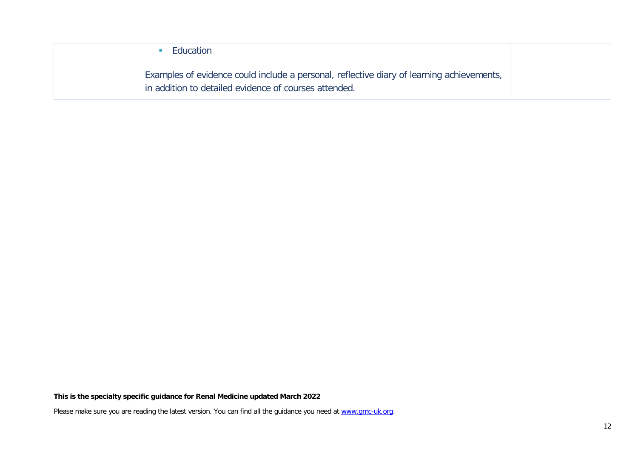| Education                                                                                                                                          |
|----------------------------------------------------------------------------------------------------------------------------------------------------|
| Examples of evidence could include a personal, reflective diary of learning achievements,<br>in addition to detailed evidence of courses attended. |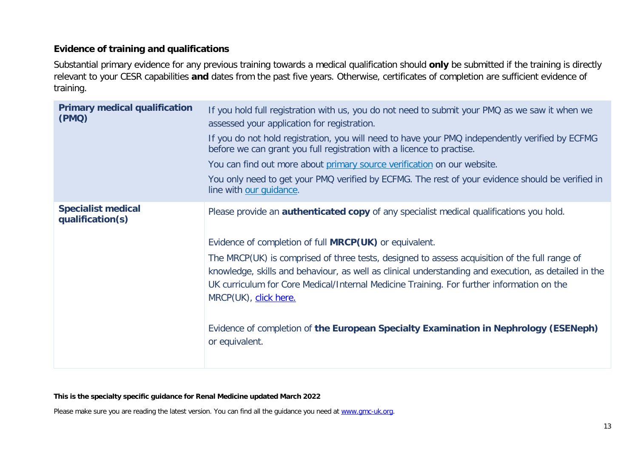#### **Evidence of training and qualifications**

Substantial primary evidence for any previous training towards a medical qualification should **only** be submitted if the training is directly relevant to your CESR capabilities **and** dates from the past five years. Otherwise, certificates of completion are sufficient evidence of training.

| <b>Primary medical qualification</b><br>(PMQ) | If you hold full registration with us, you do not need to submit your PMQ as we saw it when we<br>assessed your application for registration.<br>If you do not hold registration, you will need to have your PMQ independently verified by ECFMG<br>before we can grant you full registration with a licence to practise.<br>You can find out more about primary source verification on our website.<br>You only need to get your PMQ verified by ECFMG. The rest of your evidence should be verified in<br>line with our quidance.                                                                      |
|-----------------------------------------------|----------------------------------------------------------------------------------------------------------------------------------------------------------------------------------------------------------------------------------------------------------------------------------------------------------------------------------------------------------------------------------------------------------------------------------------------------------------------------------------------------------------------------------------------------------------------------------------------------------|
| <b>Specialist medical</b><br>qualification(s) | Please provide an <b>authenticated copy</b> of any specialist medical qualifications you hold.<br>Evidence of completion of full <b>MRCP(UK)</b> or equivalent.<br>The MRCP(UK) is comprised of three tests, designed to assess acquisition of the full range of<br>knowledge, skills and behaviour, as well as clinical understanding and execution, as detailed in the<br>UK curriculum for Core Medical/Internal Medicine Training. For further information on the<br>MRCP(UK), click here.<br>Evidence of completion of the European Specialty Examination in Nephrology (ESENeph)<br>or equivalent. |

#### **This is the specialty specific guidance for Renal Medicine updated March 2022**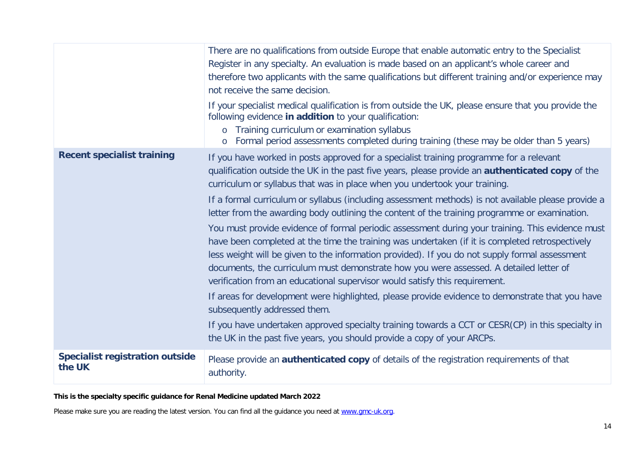|                                                  | There are no qualifications from outside Europe that enable automatic entry to the Specialist<br>Register in any specialty. An evaluation is made based on an applicant's whole career and<br>therefore two applicants with the same qualifications but different training and/or experience may<br>not receive the same decision.                                                                                                                                             |
|--------------------------------------------------|--------------------------------------------------------------------------------------------------------------------------------------------------------------------------------------------------------------------------------------------------------------------------------------------------------------------------------------------------------------------------------------------------------------------------------------------------------------------------------|
|                                                  | If your specialist medical qualification is from outside the UK, please ensure that you provide the<br>following evidence in addition to your qualification:<br>o Training curriculum or examination syllabus<br>Formal period assessments completed during training (these may be older than 5 years)<br>$\circ$                                                                                                                                                              |
| <b>Recent specialist training</b>                | If you have worked in posts approved for a specialist training programme for a relevant<br>qualification outside the UK in the past five years, please provide an authenticated copy of the<br>curriculum or syllabus that was in place when you undertook your training.                                                                                                                                                                                                      |
|                                                  | If a formal curriculum or syllabus (including assessment methods) is not available please provide a<br>letter from the awarding body outlining the content of the training programme or examination.                                                                                                                                                                                                                                                                           |
|                                                  | You must provide evidence of formal periodic assessment during your training. This evidence must<br>have been completed at the time the training was undertaken (if it is completed retrospectively<br>less weight will be given to the information provided). If you do not supply formal assessment<br>documents, the curriculum must demonstrate how you were assessed. A detailed letter of<br>verification from an educational supervisor would satisfy this requirement. |
|                                                  | If areas for development were highlighted, please provide evidence to demonstrate that you have<br>subsequently addressed them.                                                                                                                                                                                                                                                                                                                                                |
|                                                  | If you have undertaken approved specialty training towards a CCT or CESR(CP) in this specialty in<br>the UK in the past five years, you should provide a copy of your ARCPs.                                                                                                                                                                                                                                                                                                   |
| <b>Specialist registration outside</b><br>the UK | Please provide an <b>authenticated copy</b> of details of the registration requirements of that<br>authority.                                                                                                                                                                                                                                                                                                                                                                  |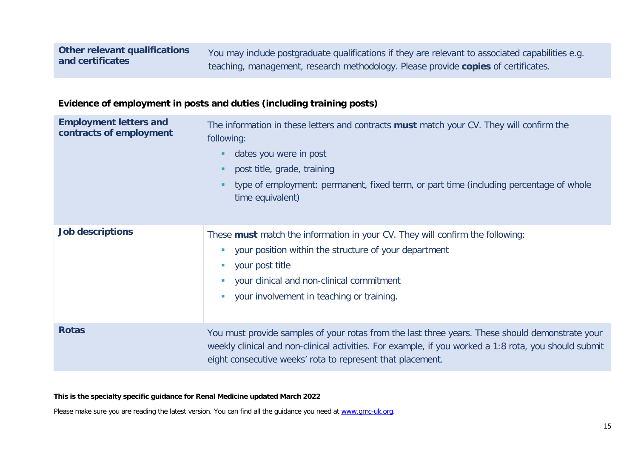You may include postgraduate qualifications if they are relevant to associated capabilities e.g. teaching, management, research methodology. Please provide **copies** of certificates.

#### **Evidence of employment in posts and duties (including training posts)**

| <b>Employment letters and</b><br>contracts of employment | The information in these letters and contracts <b>must</b> match your CV. They will confirm the<br>following:<br>dates you were in post<br>post title, grade, training<br>type of employment: permanent, fixed term, or part time (including percentage of whole<br>٠<br>time equivalent)     |
|----------------------------------------------------------|-----------------------------------------------------------------------------------------------------------------------------------------------------------------------------------------------------------------------------------------------------------------------------------------------|
| <b>Job descriptions</b>                                  | These must match the information in your CV. They will confirm the following:<br>your position within the structure of your department<br><b>L</b><br>your post title<br>your clinical and non-clinical commitment<br>$\blacksquare$<br>your involvement in teaching or training.<br><b>D</b> |
| <b>Rotas</b>                                             | You must provide samples of your rotas from the last three years. These should demonstrate your<br>weekly clinical and non-clinical activities. For example, if you worked a 1:8 rota, you should submit<br>eight consecutive weeks' rota to represent that placement.                        |

**This is the specialty specific guidance for Renal Medicine updated March 2022**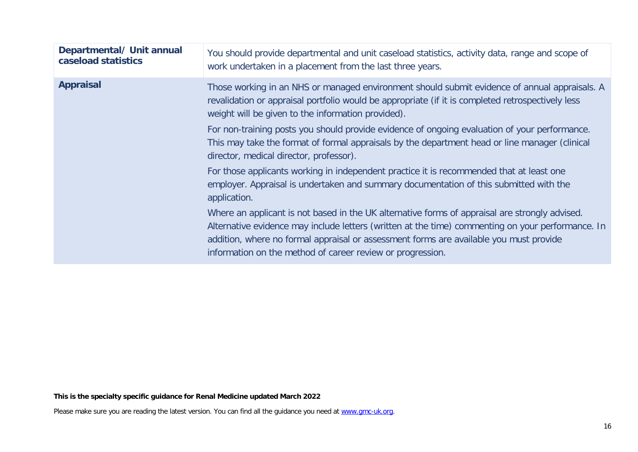| Departmental/ Unit annual<br>caseload statistics | You should provide departmental and unit caseload statistics, activity data, range and scope of<br>work undertaken in a placement from the last three years.                                                                                                                                                                                                |
|--------------------------------------------------|-------------------------------------------------------------------------------------------------------------------------------------------------------------------------------------------------------------------------------------------------------------------------------------------------------------------------------------------------------------|
| <b>Appraisal</b>                                 | Those working in an NHS or managed environment should submit evidence of annual appraisals. A<br>revalidation or appraisal portfolio would be appropriate (if it is completed retrospectively less<br>weight will be given to the information provided).                                                                                                    |
|                                                  | For non-training posts you should provide evidence of ongoing evaluation of your performance.<br>This may take the format of formal appraisals by the department head or line manager (clinical<br>director, medical director, professor).                                                                                                                  |
|                                                  | For those applicants working in independent practice it is recommended that at least one<br>employer. Appraisal is undertaken and summary documentation of this submitted with the<br>application.                                                                                                                                                          |
|                                                  | Where an applicant is not based in the UK alternative forms of appraisal are strongly advised.<br>Alternative evidence may include letters (written at the time) commenting on your performance. In<br>addition, where no formal appraisal or assessment forms are available you must provide<br>information on the method of career review or progression. |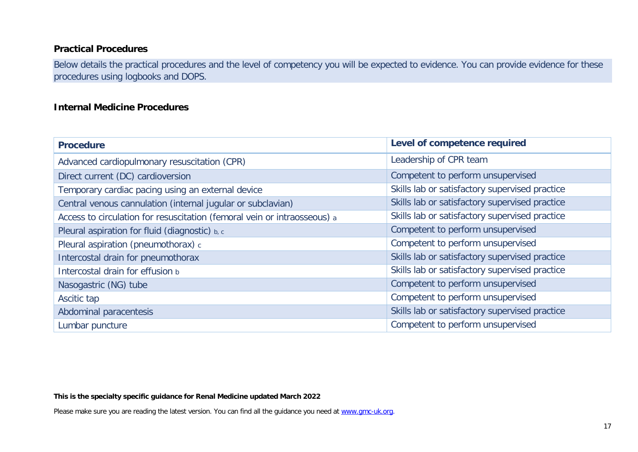#### **Practical Procedures**

Below details the practical procedures and the level of competency you will be expected to evidence. You can provide evidence for these procedures using logbooks and DOPS.

#### **Internal Medicine Procedures**

| <b>Procedure</b>                                                         | Level of competence required                   |
|--------------------------------------------------------------------------|------------------------------------------------|
| Advanced cardiopulmonary resuscitation (CPR)                             | Leadership of CPR team                         |
| Direct current (DC) cardioversion                                        | Competent to perform unsupervised              |
| Temporary cardiac pacing using an external device                        | Skills lab or satisfactory supervised practice |
| Central venous cannulation (internal jugular or subclavian)              | Skills lab or satisfactory supervised practice |
| Access to circulation for resuscitation (femoral vein or intraosseous) a | Skills lab or satisfactory supervised practice |
| Pleural aspiration for fluid (diagnostic) b, c                           | Competent to perform unsupervised              |
| Pleural aspiration (pneumothorax) c                                      | Competent to perform unsupervised              |
| Intercostal drain for pneumothorax                                       | Skills lab or satisfactory supervised practice |
| Intercostal drain for effusion b                                         | Skills lab or satisfactory supervised practice |
| Nasogastric (NG) tube                                                    | Competent to perform unsupervised              |
| Ascitic tap                                                              | Competent to perform unsupervised              |
| Abdominal paracentesis                                                   | Skills lab or satisfactory supervised practice |
| Lumbar puncture                                                          | Competent to perform unsupervised              |

#### **This is the specialty specific guidance for Renal Medicine updated March 2022**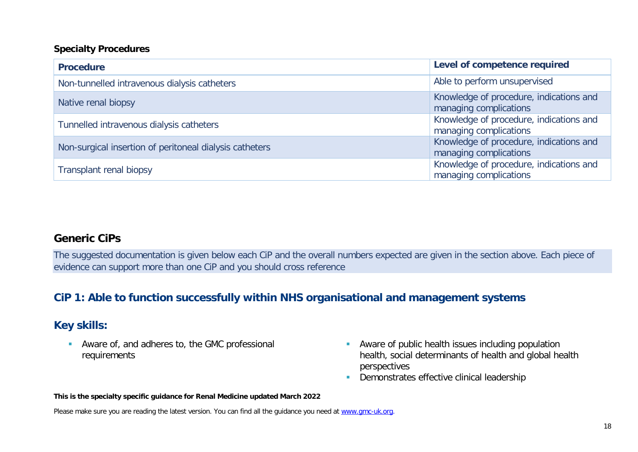#### **Specialty Procedures**

| <b>Procedure</b>                                        | Level of competence required                                      |
|---------------------------------------------------------|-------------------------------------------------------------------|
| Non-tunnelled intravenous dialysis catheters            | Able to perform unsupervised                                      |
| Native renal biopsy                                     | Knowledge of procedure, indications and<br>managing complications |
| Tunnelled intravenous dialysis catheters                | Knowledge of procedure, indications and<br>managing complications |
| Non-surgical insertion of peritoneal dialysis catheters | Knowledge of procedure, indications and<br>managing complications |
| <b>Transplant renal biopsy</b>                          | Knowledge of procedure, indications and<br>managing complications |

#### **Generic CiPs**

The suggested documentation is given below each CiP and the overall numbers expected are given in the section above. Each piece of evidence can support more than one CiP and you should cross reference

## **CiP 1: Able to function successfully within NHS organisational and management systems**

### **Key skills:**

 Aware of, and adheres to, the GMC professional requirements

- Aware of public health issues including population health, social determinants of health and global health perspectives
- **-** Demonstrates effective clinical leadership

#### **This is the specialty specific guidance for Renal Medicine updated March 2022**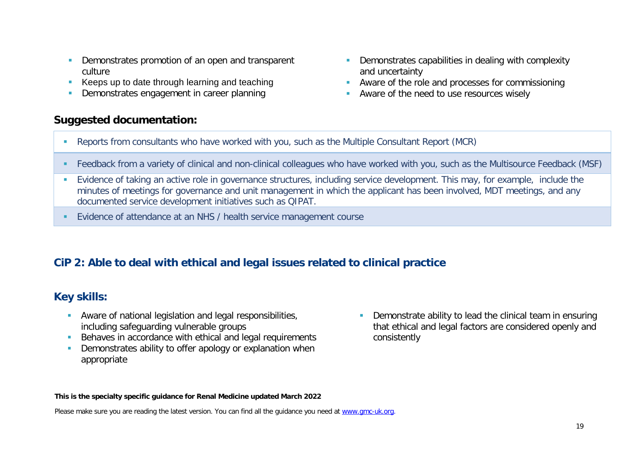- Demonstrates promotion of an open and transparent culture
- Keeps up to date through learning and teaching
- Demonstrates engagement in career planning

- **Demonstrates capabilities in dealing with complexity** and uncertainty
- **Aware of the role and processes for commissioning**
- Aware of the need to use resources wisely
- Reports from consultants who have worked with you, such as the Multiple Consultant Report (MCR)
- Feedback from a variety of clinical and non-clinical colleagues who have worked with you, such as the Multisource Feedback (MSF)
- Evidence of taking an active role in governance structures, including service development. This may, for example, include the minutes of meetings for governance and unit management in which the applicant has been involved, MDT meetings, and any documented service development initiatives such as QIPAT.
- **Evidence of attendance at an NHS / health service management course**

### **CiP 2: Able to deal with ethical and legal issues related to clinical practice**

### **Key skills:**

- Aware of national legislation and legal responsibilities, including safeguarding vulnerable groups
- Behaves in accordance with ethical and legal requirements
- **Demonstrates ability to offer apology or explanation when** appropriate
- **Demonstrate ability to lead the clinical team in ensuring** that ethical and legal factors are considered openly and consistently

#### **This is the specialty specific guidance for Renal Medicine updated March 2022**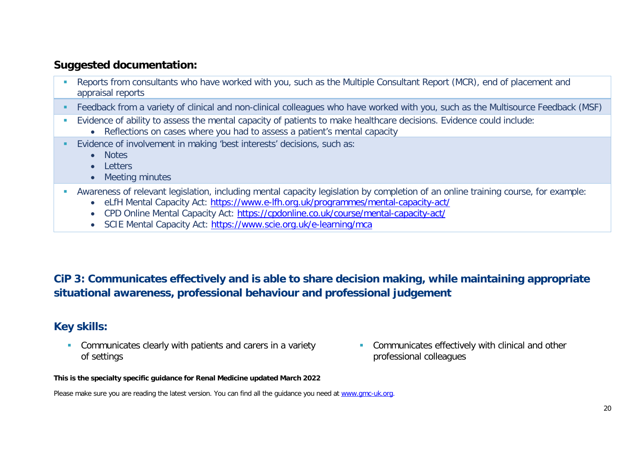- **Reports from consultants who have worked with you, such as the Multiple Consultant Report (MCR), end of placement and** appraisal reports
- Feedback from a variety of clinical and non-clinical colleagues who have worked with you, such as the Multisource Feedback (MSF)
- Evidence of ability to assess the mental capacity of patients to make healthcare decisions. Evidence could include:
	- Reflections on cases where you had to assess a patient's mental capacity
- Evidence of involvement in making 'best interests' decisions, such as:
	- Notes
	- Letters
	- Meeting minutes
- Awareness of relevant legislation, including mental capacity legislation by completion of an online training course, for example:
	- eLfH Mental Capacity Act:<https://www.e-lfh.org.uk/programmes/mental-capacity-act/>
	- CPD Online Mental Capacity Act:<https://cpdonline.co.uk/course/mental-capacity-act/>
	- SCIE Mental Capacity Act:<https://www.scie.org.uk/e-learning/mca>

## **CiP 3: Communicates effectively and is able to share decision making, while maintaining appropriate situational awareness, professional behaviour and professional judgement**

### **Key skills:**

- **Communicates clearly with patients and carers in a variety** of settings
- **Communicates effectively with clinical and other** professional colleagues

#### **This is the specialty specific guidance for Renal Medicine updated March 2022**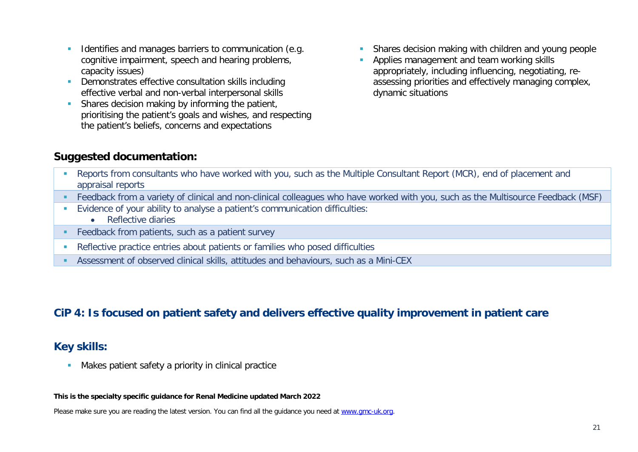- Identifies and manages barriers to communication (e.g. cognitive impairment, speech and hearing problems, capacity issues)
- Demonstrates effective consultation skills including effective verbal and non-verbal interpersonal skills
- **Shares decision making by informing the patient,** prioritising the patient's goals and wishes, and respecting the patient's beliefs, concerns and expectations
- **Shares decision making with children and young people**
- **Applies management and team working skills** appropriately, including influencing, negotiating, reassessing priorities and effectively managing complex, dynamic situations

- **Reports from consultants who have worked with you, such as the Multiple Consultant Report (MCR), end of placement and** appraisal reports
- Feedback from a variety of clinical and non-clinical colleagues who have worked with you, such as the Multisource Feedback (MSF)
- Evidence of your ability to analyse a patient's communication difficulties:
	- Reflective diaries
- **Feedback from patients, such as a patient survey**
- Reflective practice entries about patients or families who posed difficulties
- Assessment of observed clinical skills, attitudes and behaviours, such as a Mini-CEX

### **CiP 4: Is focused on patient safety and delivers effective quality improvement in patient care**

#### **Key skills:**

**Makes patient safety a priority in clinical practice** 

#### **This is the specialty specific guidance for Renal Medicine updated March 2022**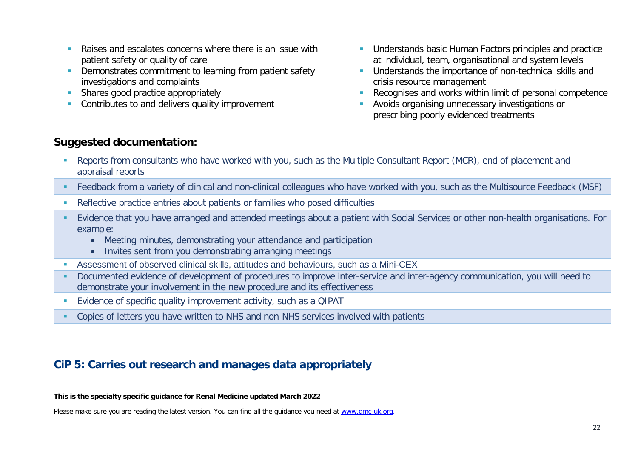- **Raises and escalates concerns where there is an issue with** patient safety or quality of care
- **Demonstrates commitment to learning from patient safety** investigations and complaints
- **Shares good practice appropriately**
- Contributes to and delivers quality improvement
- **Understands basic Human Factors principles and practice** at individual, team, organisational and system levels
- **Understands the importance of non-technical skills and** crisis resource management
- Recognises and works within limit of personal competence
- **Avoids organising unnecessary investigations or** prescribing poorly evidenced treatments

- Reports from consultants who have worked with you, such as the Multiple Consultant Report (MCR), end of placement and appraisal reports
- Feedback from a variety of clinical and non-clinical colleagues who have worked with you, such as the Multisource Feedback (MSF)
- Reflective practice entries about patients or families who posed difficulties
- Evidence that you have arranged and attended meetings about a patient with Social Services or other non-health organisations. For example:
	- Meeting minutes, demonstrating your attendance and participation
	- Invites sent from you demonstrating arranging meetings
- Assessment of observed clinical skills, attitudes and behaviours, such as a Mini-CEX
- Documented evidence of development of procedures to improve inter-service and inter-agency communication, you will need to demonstrate your involvement in the new procedure and its effectiveness
- Evidence of specific quality improvement activity, such as a QIPAT
- Copies of letters you have written to NHS and non-NHS services involved with patients

## **CiP 5: Carries out research and manages data appropriately**

#### **This is the specialty specific guidance for Renal Medicine updated March 2022**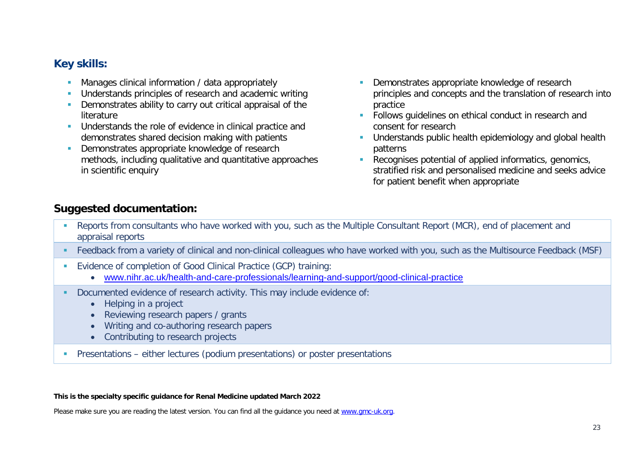### **Key skills:**

- **Manages clinical information / data appropriately**
- Understands principles of research and academic writing
- **Demonstrates ability to carry out critical appraisal of the** literature
- **Understands the role of evidence in clinical practice and** demonstrates shared decision making with patients
- Demonstrates appropriate knowledge of research methods, including qualitative and quantitative approaches in scientific enquiry
- Demonstrates appropriate knowledge of research principles and concepts and the translation of research into practice
- **Follows quidelines on ethical conduct in research and** consent for research
- **Understands public health epidemiology and global health** patterns
- Recognises potential of applied informatics, genomics, stratified risk and personalised medicine and seeks advice for patient benefit when appropriate

## **Suggested documentation:**

- **Reports from consultants who have worked with you, such as the Multiple Consultant Report (MCR), end of placement and** appraisal reports
- Feedback from a variety of clinical and non-clinical colleagues who have worked with you, such as the Multisource Feedback (MSF)
- Evidence of completion of Good Clinical Practice (GCP) training:
	- [www.nihr.ac.uk/health-and-care-professionals/learning-and-support/good-clinical-practice](https://www.nihr.ac.uk/health-and-care-professionals/learning-and-support/good-clinical-practice.htm)
- Documented evidence of research activity. This may include evidence of:
	- Helping in a project
	- Reviewing research papers / grants
	- Writing and co-authoring research papers
	- Contributing to research projects
- Presentations either lectures (podium presentations) or poster presentations

#### **This is the specialty specific guidance for Renal Medicine updated March 2022**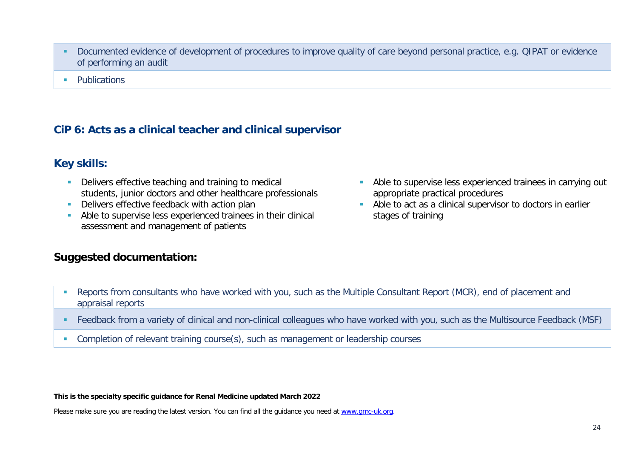- Documented evidence of development of procedures to improve quality of care beyond personal practice, e.g. QIPAT or evidence of performing an audit
- **Publications**

### **CiP 6: Acts as a clinical teacher and clinical supervisor**

#### **Key skills:**

- Delivers effective teaching and training to medical students, junior doctors and other healthcare professionals
- Delivers effective feedback with action plan
- Able to supervise less experienced trainees in their clinical assessment and management of patients

### **Suggested documentation:**

- Able to supervise less experienced trainees in carrying out appropriate practical procedures
- Able to act as a clinical supervisor to doctors in earlier stages of training

- Reports from consultants who have worked with you, such as the Multiple Consultant Report (MCR), end of placement and appraisal reports
- Feedback from a variety of clinical and non-clinical colleagues who have worked with you, such as the Multisource Feedback (MSF)
- Completion of relevant training course(s), such as management or leadership courses

#### **This is the specialty specific guidance for Renal Medicine updated March 2022**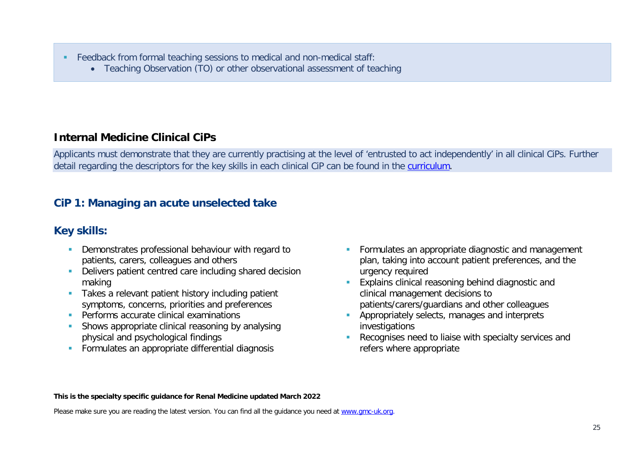- Feedback from formal teaching sessions to medical and non-medical staff:
	- Teaching Observation (TO) or other observational assessment of teaching

## **Internal Medicine Clinical CiPs**

Applicants must demonstrate that they are currently practising at the level of 'entrusted to act independently' in all clinical CiPs. Further detail regarding the descriptors for the key skills in each clinical CiP can be found in the [curriculum.](https://www.gmc-uk.org/education/standards-guidance-and-curricula/curricula#T)

## **CiP 1: Managing an acute unselected take**

## **Key skills:**

- **Demonstrates professional behaviour with regard to** patients, carers, colleagues and others
- **-** Delivers patient centred care including shared decision making
- **Takes a relevant patient history including patient** symptoms, concerns, priorities and preferences
- **Performs accurate clinical examinations**
- Shows appropriate clinical reasoning by analysing physical and psychological findings
- **Formulates an appropriate differential diagnosis**
- **Formulates an appropriate diagnostic and management** plan, taking into account patient preferences, and the urgency required
- **Explains clinical reasoning behind diagnostic and** clinical management decisions to patients/carers/guardians and other colleagues
- **Appropriately selects, manages and interprets** investigations
- **Recognises need to liaise with specialty services and** refers where appropriate

#### **This is the specialty specific guidance for Renal Medicine updated March 2022**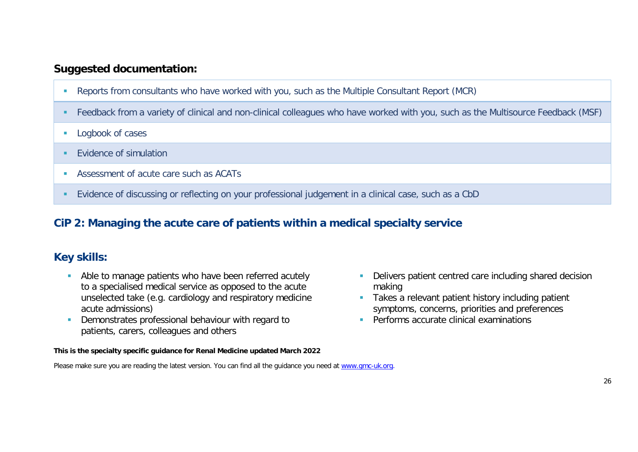- Reports from consultants who have worked with you, such as the Multiple Consultant Report (MCR)
- Feedback from a variety of clinical and non-clinical colleagues who have worked with you, such as the Multisource Feedback (MSF)
- **Logbook of cases**
- **EVidence of simulation**
- Assessment of acute care such as ACATs
- Evidence of discussing or reflecting on your professional judgement in a clinical case, such as a CbD

### **CiP 2: Managing the acute care of patients within a medical specialty service**

### **Key skills:**

- **Able to manage patients who have been referred acutely** to a specialised medical service as opposed to the acute unselected take (e.g. cardiology and respiratory medicine acute admissions)
- **Demonstrates professional behaviour with regard to** patients, carers, colleagues and others

#### **This is the specialty specific guidance for Renal Medicine updated March 2022**

- Delivers patient centred care including shared decision making
- **Takes a relevant patient history including patient** symptoms, concerns, priorities and preferences
- **Performs accurate clinical examinations**
- Please make sure you are reading the latest version. You can find all the guidance you need at [www.gmc-uk.org.](http://www.gmc-uk.org/)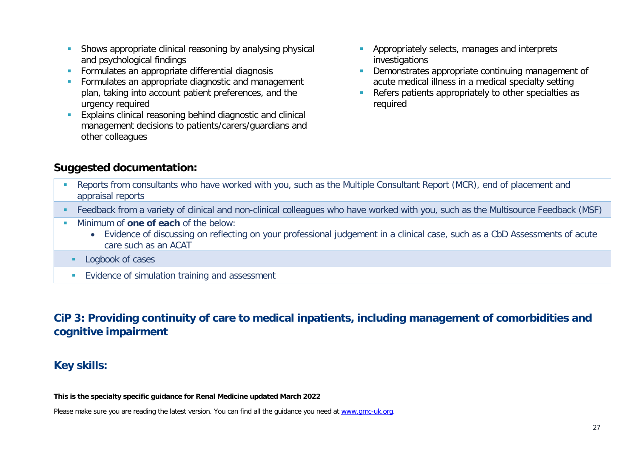- **Shows appropriate clinical reasoning by analysing physical** and psychological findings
- **Formulates an appropriate differential diagnosis**
- Formulates an appropriate diagnostic and management plan, taking into account patient preferences, and the urgency required
- **Explains clinical reasoning behind diagnostic and clinical** management decisions to patients/carers/guardians and other colleagues
- **Appropriately selects, manages and interprets** investigations
- Demonstrates appropriate continuing management of acute medical illness in a medical specialty setting
- Refers patients appropriately to other specialties as required

- Reports from consultants who have worked with you, such as the Multiple Consultant Report (MCR), end of placement and appraisal reports
- Feedback from a variety of clinical and non-clinical colleagues who have worked with you, such as the Multisource Feedback (MSF)
- **Minimum of one of each of the below:** 
	- Evidence of discussing on reflecting on your professional judgement in a clinical case, such as a CbD Assessments of acute care such as an ACAT
	- **Logbook of cases**
	- **Evidence of simulation training and assessment**

**CiP 3: Providing continuity of care to medical inpatients, including management of comorbidities and cognitive impairment**

### **Key skills:**

**This is the specialty specific guidance for Renal Medicine updated March 2022**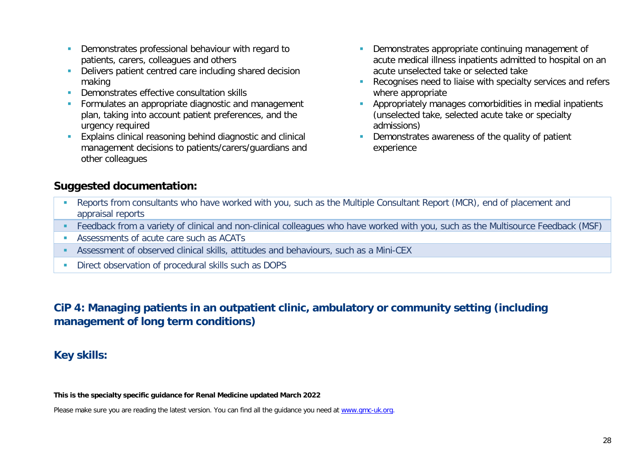- **Demonstrates professional behaviour with regard to** patients, carers, colleagues and others
- Delivers patient centred care including shared decision making
- **Demonstrates effective consultation skills**
- **Formulates an appropriate diagnostic and management** plan, taking into account patient preferences, and the urgency required
- **Explains clinical reasoning behind diagnostic and clinical** management decisions to patients/carers/guardians and other colleagues
- Demonstrates appropriate continuing management of acute medical illness inpatients admitted to hospital on an acute unselected take or selected take
- **Recognises need to liaise with specialty services and refers** where appropriate
- **Appropriately manages comorbidities in medial inpatients** (unselected take, selected acute take or specialty admissions)
- Demonstrates awareness of the quality of patient experience

- **Reports from consultants who have worked with you, such as the Multiple Consultant Report (MCR), end of placement and** appraisal reports
- Feedback from a variety of clinical and non-clinical colleagues who have worked with you, such as the Multisource Feedback (MSF)
- Assessments of acute care such as ACATs
- Assessment of observed clinical skills, attitudes and behaviours, such as a Mini-CEX
- **Direct observation of procedural skills such as DOPS**

## **CiP 4: Managing patients in an outpatient clinic, ambulatory or community setting (including management of long term conditions)**

### **Key skills:**

**This is the specialty specific guidance for Renal Medicine updated March 2022**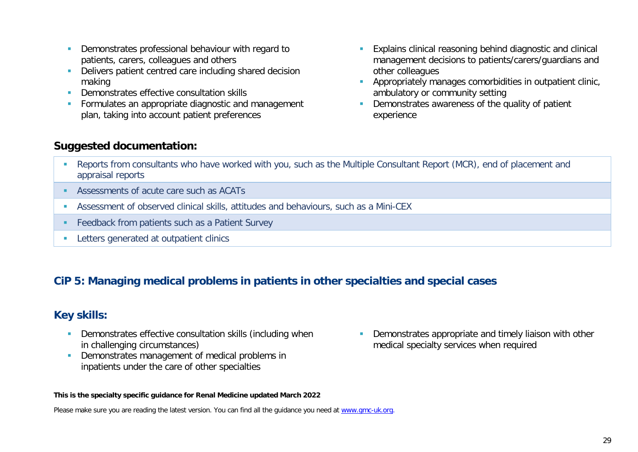- **Demonstrates professional behaviour with regard to** patients, carers, colleagues and others
- Delivers patient centred care including shared decision making
- **Demonstrates effective consultation skills**
- **Formulates an appropriate diagnostic and management** plan, taking into account patient preferences
- **Explains clinical reasoning behind diagnostic and clinical** management decisions to patients/carers/guardians and other colleagues
- **Appropriately manages comorbidities in outpatient clinic,** ambulatory or community setting
- Demonstrates awareness of the quality of patient experience

- Reports from consultants who have worked with you, such as the Multiple Consultant Report (MCR), end of placement and appraisal reports
- Assessments of acute care such as ACATs
- Assessment of observed clinical skills, attitudes and behaviours, such as a Mini-CEX
- **Feedback from patients such as a Patient Survey**
- **Letters generated at outpatient clinics**

### **CiP 5: Managing medical problems in patients in other specialties and special cases**

### **Key skills:**

- **-** Demonstrates effective consultation skills (including when in challenging circumstances)
- Demonstrates management of medical problems in inpatients under the care of other specialties

#### **This is the specialty specific guidance for Renal Medicine updated March 2022**

Please make sure you are reading the latest version. You can find all the guidance you need at [www.gmc-uk.org.](http://www.gmc-uk.org/)

**-** Demonstrates appropriate and timely liaison with other medical specialty services when required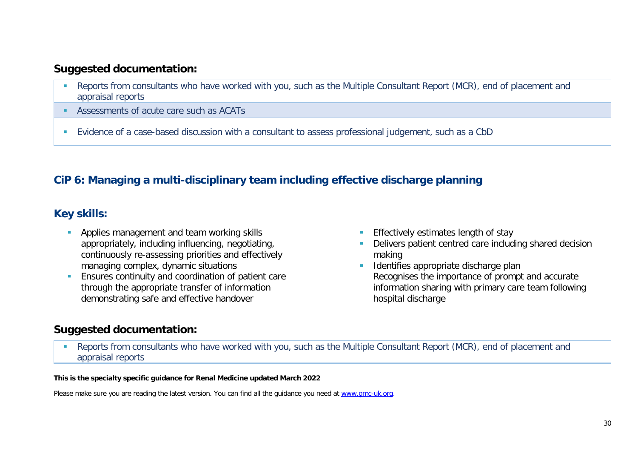- Reports from consultants who have worked with you, such as the Multiple Consultant Report (MCR), end of placement and appraisal reports
- Assessments of acute care such as ACATs
- Evidence of a case-based discussion with a consultant to assess professional judgement, such as a CbD

## **CiP 6: Managing a multi-disciplinary team including effective discharge planning**

## **Key skills:**

- **Applies management and team working skills** appropriately, including influencing, negotiating, continuously re-assessing priorities and effectively managing complex, dynamic situations
- **Ensures continuity and coordination of patient care** through the appropriate transfer of information demonstrating safe and effective handover
- **Effectively estimates length of stay**
- Delivers patient centred care including shared decision making
- **IDENTIFIELD** discharge plan Recognises the importance of prompt and accurate information sharing with primary care team following hospital discharge

## **Suggested documentation:**

 Reports from consultants who have worked with you, such as the Multiple Consultant Report (MCR), end of placement and appraisal reports

#### **This is the specialty specific guidance for Renal Medicine updated March 2022**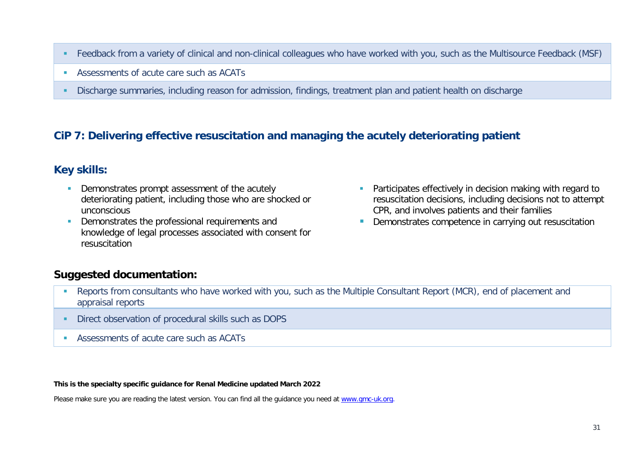- Feedback from a variety of clinical and non-clinical colleagues who have worked with you, such as the Multisource Feedback (MSF)
- Assessments of acute care such as ACATs
- Discharge summaries, including reason for admission, findings, treatment plan and patient health on discharge

### **CiP 7: Delivering effective resuscitation and managing the acutely deteriorating patient**

### **Key skills:**

- Demonstrates prompt assessment of the acutely deteriorating patient, including those who are shocked or unconscious
- Demonstrates the professional requirements and knowledge of legal processes associated with consent for resuscitation
- Participates effectively in decision making with regard to resuscitation decisions, including decisions not to attempt CPR, and involves patients and their families
- **Demonstrates competence in carrying out resuscitation**

### **Suggested documentation:**

- **-** Reports from consultants who have worked with you, such as the Multiple Consultant Report (MCR), end of placement and appraisal reports
- **Direct observation of procedural skills such as DOPS**
- **Assessments of acute care such as ACATs**

**This is the specialty specific guidance for Renal Medicine updated March 2022**

Please make sure you are reading the latest version. You can find all the guidance you need at [www.gmc-uk.org.](http://www.gmc-uk.org/)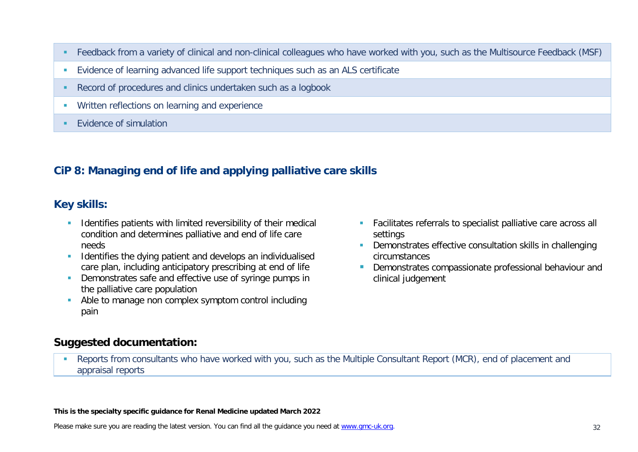- Feedback from a variety of clinical and non-clinical colleagues who have worked with you, such as the Multisource Feedback (MSF)
- Evidence of learning advanced life support techniques such as an ALS certificate
- Record of procedures and clinics undertaken such as a logbook
- **Written reflections on learning and experience**
- **Evidence of simulation**

### **CiP 8: Managing end of life and applying palliative care skills**

### **Key skills:**

- **IDENTIFIELD IDENTIFIELD** Unit I imited reversibility of their medical condition and determines palliative and end of life care needs
- **IDENTIFIEM** Identifies the dying patient and develops an individualised care plan, including anticipatory prescribing at end of life
- **Demonstrates safe and effective use of syringe pumps in** the palliative care population
- Able to manage non complex symptom control including pain
- **Facilitates referrals to specialist palliative care across all** settings
- **Demonstrates effective consultation skills in challenging** circumstances
- **Demonstrates compassionate professional behaviour and** clinical judgement

#### **Suggested documentation:**

**Reports from consultants who have worked with you, such as the Multiple Consultant Report (MCR), end of placement and** appraisal reports

#### **This is the specialty specific guidance for Renal Medicine updated March 2022**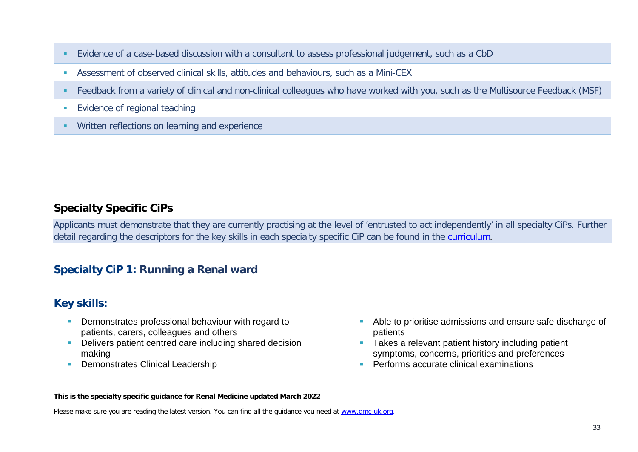- Evidence of a case-based discussion with a consultant to assess professional judgement, such as a CbD
- Assessment of observed clinical skills, attitudes and behaviours, such as a Mini-CEX
- Feedback from a variety of clinical and non-clinical colleagues who have worked with you, such as the Multisource Feedback (MSF)
- **Evidence of regional teaching**
- **Written reflections on learning and experience**

### **Specialty Specific CiPs**

Applicants must demonstrate that they are currently practising at the level of 'entrusted to act independently' in all specialty CiPs. Further detail regarding the descriptors for the key skills in each specialty specific CiP can be found in the [curriculum.](https://www.gmc-uk.org/education/standards-guidance-and-curricula/curricula#T)

## **Specialty CiP 1: Running a Renal ward**

### **Key skills:**

- **-** Demonstrates professional behaviour with regard to patients, carers, colleagues and others
- **-** Delivers patient centred care including shared decision making
- **Demonstrates Clinical Leadership**
- Able to prioritise admissions and ensure safe discharge of patients
- **Takes a relevant patient history including patient** symptoms, concerns, priorities and preferences
- **Performs accurate clinical examinations**

#### **This is the specialty specific guidance for Renal Medicine updated March 2022**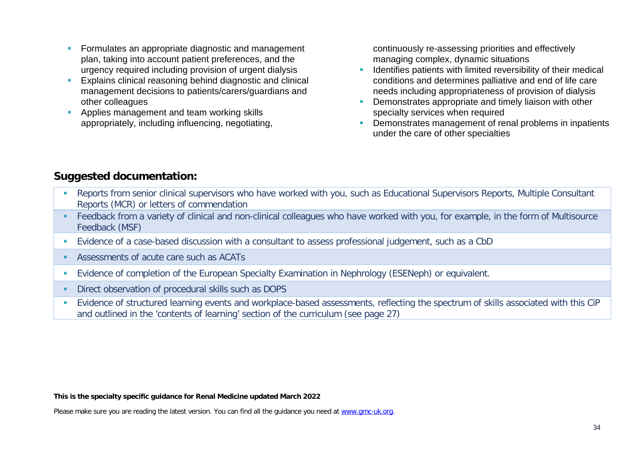- **Formulates an appropriate diagnostic and management** plan, taking into account patient preferences, and the urgency required including provision of urgent dialysis
- **Explains clinical reasoning behind diagnostic and clinical** management decisions to patients/carers/guardians and other colleagues
- **Applies management and team working skills** appropriately, including influencing, negotiating,

continuously re-assessing priorities and effectively managing complex, dynamic situations

- **If Identifies patients with limited reversibility of their medical** conditions and determines palliative and end of life care needs including appropriateness of provision of dialysis
- Demonstrates appropriate and timely liaison with other specialty services when required
- **Demonstrates management of renal problems in inpatients** under the care of other specialties

### **Suggested documentation:**

- **Reports from senior clinical supervisors who have worked with you, such as Educational Supervisors Reports, Multiple Consultant** Reports (MCR) or letters of commendation
- Feedback from a variety of clinical and non-clinical colleagues who have worked with you, for example, in the form of Multisource Feedback (MSF)
- Evidence of a case-based discussion with a consultant to assess professional judgement, such as a CbD
- Assessments of acute care such as ACATs
- Evidence of completion of the European Specialty Examination in Nephrology (ESENeph) or equivalent.
- Direct observation of procedural skills such as DOPS
- Evidence of structured learning events and workplace-based assessments, reflecting the spectrum of skills associated with this CiP and outlined in the 'contents of learning' section of the curriculum (see page 27)

#### **This is the specialty specific guidance for Renal Medicine updated March 2022**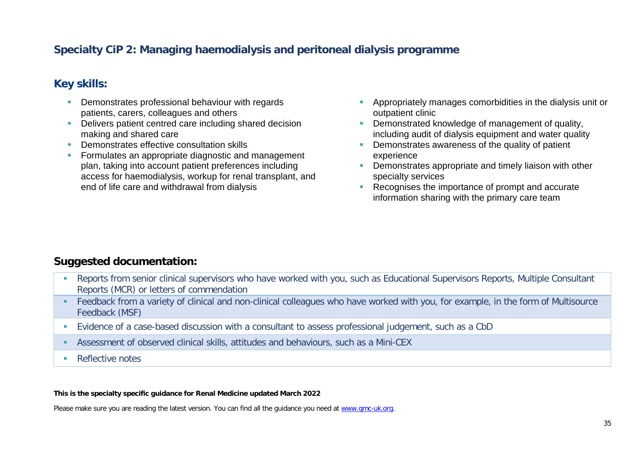### **Specialty CiP 2: Managing haemodialysis and peritoneal dialysis programme**

#### **Key skills:**

- **Demonstrates professional behaviour with regards** patients, carers, colleagues and others
- Delivers patient centred care including shared decision making and shared care
- **Demonstrates effective consultation skills**
- **Formulates an appropriate diagnostic and management** plan, taking into account patient preferences including access for haemodialysis, workup for renal transplant, and end of life care and withdrawal from dialysis
- **Appropriately manages comorbidities in the dialysis unit or** outpatient clinic
- Demonstrated knowledge of management of quality, including audit of dialysis equipment and water quality
- Demonstrates awareness of the quality of patient experience
- Demonstrates appropriate and timely liaison with other specialty services
- Recognises the importance of prompt and accurate information sharing with the primary care team

#### **Suggested documentation:**

- **Reports from senior clinical supervisors who have worked with you, such as Educational Supervisors Reports, Multiple Consultant** Reports (MCR) or letters of commendation
- **Feedback from a variety of clinical and non-clinical colleagues who have worked with you, for example, in the form of Multisource** Feedback (MSF)
- Evidence of a case-based discussion with a consultant to assess professional judgement, such as a CbD
- Assessment of observed clinical skills, attitudes and behaviours, such as a Mini-CEX
- **Reflective notes**

#### **This is the specialty specific guidance for Renal Medicine updated March 2022**

Please make sure you are reading the latest version. You can find all the guidance you need at [www.gmc-uk.org.](http://www.gmc-uk.org/)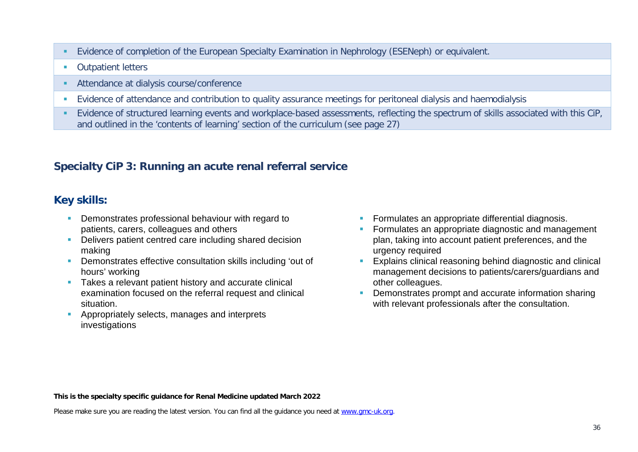- Evidence of completion of the European Specialty Examination in Nephrology (ESENeph) or equivalent.
- **Cutpatient letters**
- Attendance at dialysis course/conference
- Evidence of attendance and contribution to quality assurance meetings for peritoneal dialysis and haemodialysis
- **Evidence of structured learning events and workplace-based assessments, reflecting the spectrum of skills associated with this CiP,** and outlined in the 'contents of learning' section of the curriculum (see page 27)

### **Specialty CiP 3: Running an acute renal referral service**

### **Key skills:**

- **Demonstrates professional behaviour with regard to** patients, carers, colleagues and others
- Delivers patient centred care including shared decision making
- **-** Demonstrates effective consultation skills including 'out of hours' working
- Takes a relevant patient history and accurate clinical examination focused on the referral request and clinical situation.
- Appropriately selects, manages and interprets investigations
- Formulates an appropriate differential diagnosis.
- Formulates an appropriate diagnostic and management plan, taking into account patient preferences, and the urgency required
- **Explains clinical reasoning behind diagnostic and clinical** management decisions to patients/carers/guardians and other colleagues.
- **Demonstrates prompt and accurate information sharing** with relevant professionals after the consultation.

#### **This is the specialty specific guidance for Renal Medicine updated March 2022**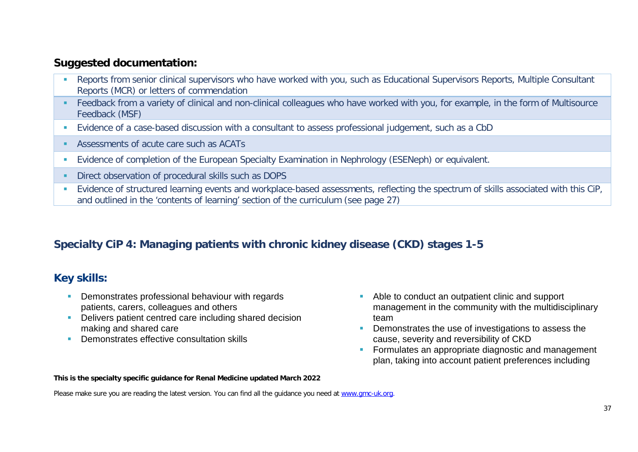- **Reports from senior clinical supervisors who have worked with you, such as Educational Supervisors Reports, Multiple Consultant** Reports (MCR) or letters of commendation
- Feedback from a variety of clinical and non-clinical colleagues who have worked with you, for example, in the form of Multisource Feedback (MSF)
- Evidence of a case-based discussion with a consultant to assess professional judgement, such as a CbD
- Assessments of acute care such as ACATs
- Evidence of completion of the European Specialty Examination in Nephrology (ESENeph) or equivalent.
- **Direct observation of procedural skills such as DOPS**
- **Evidence of structured learning events and workplace-based assessments, reflecting the spectrum of skills associated with this CiP,** and outlined in the 'contents of learning' section of the curriculum (see page 27)

## **Specialty CiP 4: Managing patients with chronic kidney disease (CKD) stages 1-5**

### **Key skills:**

- **Demonstrates professional behaviour with regards** patients, carers, colleagues and others
- Delivers patient centred care including shared decision making and shared care
- **Demonstrates effective consultation skills**
- Able to conduct an outpatient clinic and support management in the community with the multidisciplinary team
- Demonstrates the use of investigations to assess the cause, severity and reversibility of CKD
- **Formulates an appropriate diagnostic and management** plan, taking into account patient preferences including

#### **This is the specialty specific guidance for Renal Medicine updated March 2022**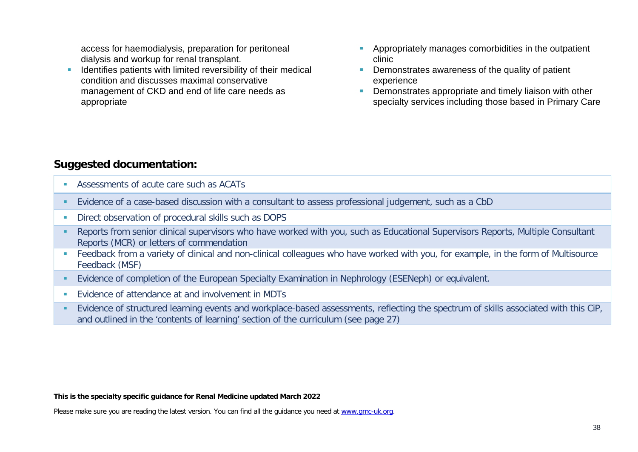access for haemodialysis, preparation for peritoneal dialysis and workup for renal transplant.

- Identifies patients with limited reversibility of their medical condition and discusses maximal conservative management of CKD and end of life care needs as appropriate
- **Appropriately manages comorbidities in the outpatient** clinic
- **Demonstrates awareness of the quality of patient** experience
- **Demonstrates appropriate and timely liaison with other** specialty services including those based in Primary Care

### **Suggested documentation:**

- Assessments of acute care such as ACATs
- Evidence of a case-based discussion with a consultant to assess professional judgement, such as a CbD
- **Direct observation of procedural skills such as DOPS**
- Reports from senior clinical supervisors who have worked with you, such as Educational Supervisors Reports, Multiple Consultant Reports (MCR) or letters of commendation
- Feedback from a variety of clinical and non-clinical colleagues who have worked with you, for example, in the form of Multisource Feedback (MSF)
- Evidence of completion of the European Specialty Examination in Nephrology (ESENeph) or equivalent.
- **EVIDENCE OF Attendance at and involvement in MDTs**
- **Evidence of structured learning events and workplace-based assessments, reflecting the spectrum of skills associated with this CiP,** and outlined in the 'contents of learning' section of the curriculum (see page 27)

#### **This is the specialty specific guidance for Renal Medicine updated March 2022**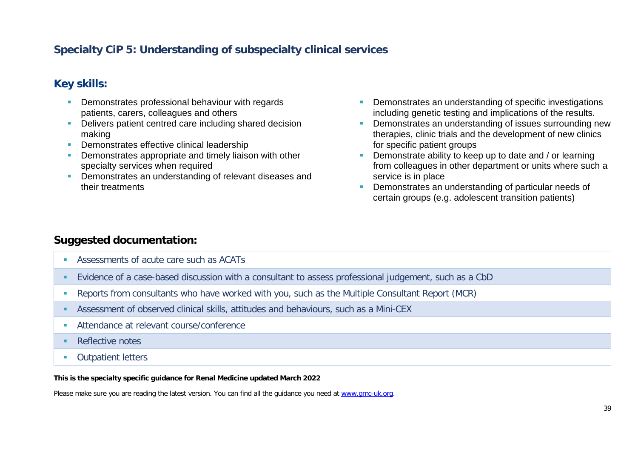## **Specialty CiP 5: Understanding of subspecialty clinical services**

### **Key skills:**

- **Demonstrates professional behaviour with regards** patients, carers, colleagues and others
- Delivers patient centred care including shared decision making
- **Demonstrates effective clinical leadership**
- Demonstrates appropriate and timely liaison with other specialty services when required
- **Demonstrates an understanding of relevant diseases and** their treatments
- Demonstrates an understanding of specific investigations including genetic testing and implications of the results.
- **Demonstrates an understanding of issues surrounding new** therapies, clinic trials and the development of new clinics for specific patient groups
- Demonstrate ability to keep up to date and / or learning from colleagues in other department or units where such a service is in place
- **Demonstrates an understanding of particular needs of** certain groups (e.g. adolescent transition patients)

#### **Suggested documentation:**

- **Assessments of acute care such as ACATs**
- Evidence of a case-based discussion with a consultant to assess professional judgement, such as a CbD
- Reports from consultants who have worked with you, such as the Multiple Consultant Report (MCR)
- Assessment of observed clinical skills, attitudes and behaviours, such as a Mini-CEX
- **Attendance at relevant course/conference**
- **Reflective notes**
- **Cutpatient letters**

#### **This is the specialty specific guidance for Renal Medicine updated March 2022**

Please make sure you are reading the latest version. You can find all the guidance you need at [www.gmc-uk.org.](http://www.gmc-uk.org/)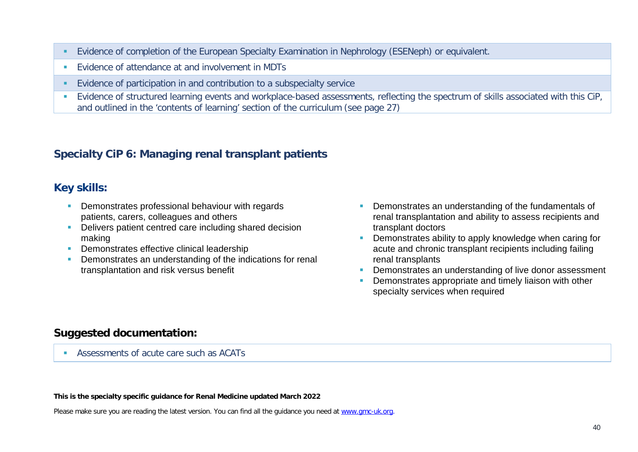- Evidence of completion of the European Specialty Examination in Nephrology (ESENeph) or equivalent.
- **EVIDENCE OF Attendance at and involvement in MDTs**
- Evidence of participation in and contribution to a subspecialty service
- **Evidence of structured learning events and workplace-based assessments, reflecting the spectrum of skills associated with this CiP,** and outlined in the 'contents of learning' section of the curriculum (see page 27)

### **Specialty CiP 6: Managing renal transplant patients**

#### **Key skills:**

- **Demonstrates professional behaviour with regards** patients, carers, colleagues and others
- **•** Delivers patient centred care including shared decision making
- **Demonstrates effective clinical leadership**
- **•** Demonstrates an understanding of the indications for renal transplantation and risk versus benefit
- Demonstrates an understanding of the fundamentals of renal transplantation and ability to assess recipients and transplant doctors
- **•** Demonstrates ability to apply knowledge when caring for acute and chronic transplant recipients including failing renal transplants
- Demonstrates an understanding of live donor assessment
- **Demonstrates appropriate and timely liaison with other** specialty services when required

### **Suggested documentation:**

Assessments of acute care such as ACATs

#### **This is the specialty specific guidance for Renal Medicine updated March 2022**